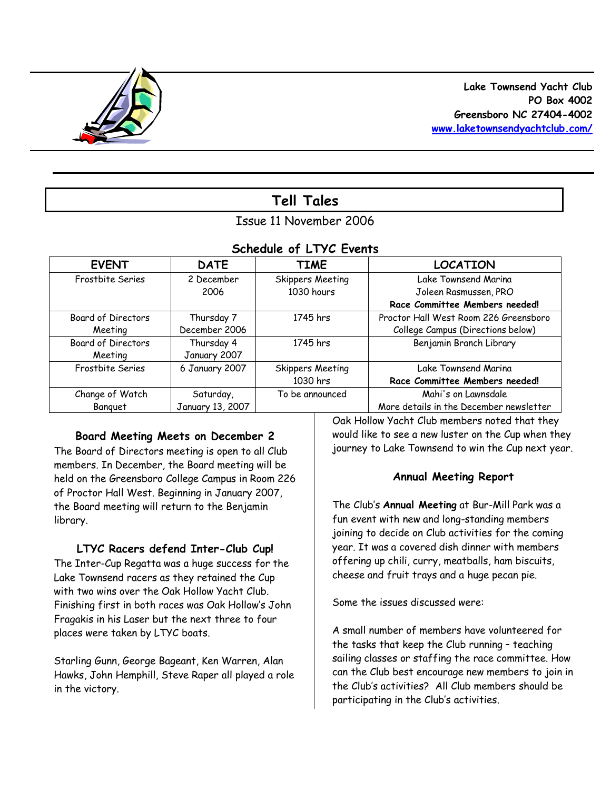

# **Tell Tales**

# Issue 11 November 2006

# *Schedule of LTYC Events*

| <b>EVENT</b>              | <b>DATE</b>      | <b>TIME</b>      | <b>LOCATION</b>                         |
|---------------------------|------------------|------------------|-----------------------------------------|
| Frostbite Series          | 2 December       | Skippers Meeting | Lake Townsend Marina                    |
|                           | 2006             | 1030 hours       | Joleen Rasmussen, PRO                   |
|                           |                  |                  | Race Committee Members needed!          |
| Board of Directors        | Thursday 7       | 1745 hrs         | Proctor Hall West Room 226 Greensboro   |
| Meeting                   | December 2006    |                  | College Campus (Directions below)       |
| <b>Board of Directors</b> | Thursday 4       | 1745 hrs         | Benjamin Branch Library                 |
| Meeting                   | January 2007     |                  |                                         |
| Frostbite Series          | 6 January 2007   | Skippers Meeting | Lake Townsend Marina                    |
|                           |                  | 1030 hrs         | Race Committee Members needed!          |
| Change of Watch           | Saturday,        | To be announced  | Mahi's on Lawnsdale                     |
| Banguet                   | January 13, 2007 |                  | More details in the December newsletter |

## **Board Meeting Meets on December 2**

The Board of Directors meeting is open to all Club members. In December, the Board meeting will be held on the Greensboro College Campus in Room 226 of Proctor Hall West. Beginning in January 2007, the Board meeting will return to the Benjamin library.

## **LTYC Racers defend Inter-Club Cup!**

The Inter-Cup Regatta was a huge success for the Lake Townsend racers as they retained the Cup with two wins over the Oak Hollow Yacht Club. Finishing first in both races was Oak Hollow's John Fragakis in his Laser but the next three to four places were taken by LTYC boats.

Starling Gunn, George Bageant, Ken Warren, Alan Hawks, John Hemphill, Steve Raper all played a role in the victory.

Oak Hollow Yacht Club members noted that they would like to see a new luster on the Cup when they journey to Lake Townsend to win the Cup next year.

## **Annual Meeting Report**

The Club's **Annual Meeting** at Bur-Mill Park was a fun event with new and long-standing members joining to decide on Club activities for the coming year. It was a covered dish dinner with members offering up chili, curry, meatballs, ham biscuits, cheese and fruit trays and a huge pecan pie.

Some the issues discussed were:

A small number of members have volunteered for the tasks that keep the Club running – teaching sailing classes or staffing the race committee. How can the Club best encourage new members to join in the Club's activities? All Club members should be participating in the Club's activities.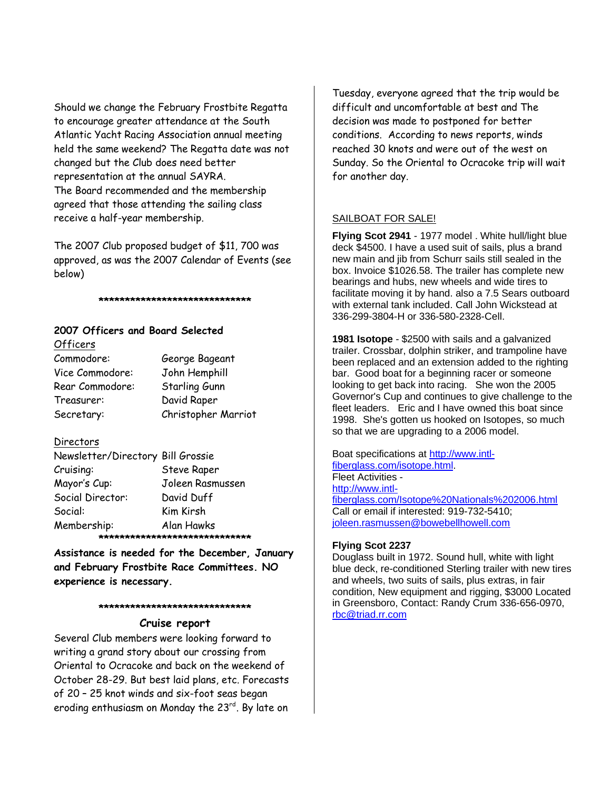Should we change the February Frostbite Regatta to encourage greater attendance at the South Atlantic Yacht Racing Association annual meeting held the same weekend? The Regatta date was not changed but the Club does need better representation at the annual SAYRA. The Board recommended and the membership agreed that those attending the sailing class receive a half-year membership.

The 2007 Club proposed budget of \$11, 700 was approved, as was the 2007 Calendar of Events (see below)

**\*\*\*\*\*\*\*\*\*\*\*\*\*\*\*\*\*\*\*\*\*\*\*\*\*\*\*\*\***

# **2007 Officers and Board Selected**

Officers Commodore: George Bageant Vice Commodore: John Hemphill Rear Commodore: Starling Gunn Treasurer: David Raper Secretary: Christopher Marriot

### Directors

| Newsletter/Directory Bill Grossie |                    |  |  |  |
|-----------------------------------|--------------------|--|--|--|
| Cruising:                         | <b>Steve Raper</b> |  |  |  |
| Mayor's Cup:                      | Joleen Rasmussen   |  |  |  |
| Social Director:                  | David Duff         |  |  |  |
| Social:                           | Kim Kirsh          |  |  |  |
| Membership:                       | Alan Hawks         |  |  |  |
| *********************             |                    |  |  |  |

**Assistance is needed for the December, January and February Frostbite Race Committees. NO experience is necessary.** 

#### **\*\*\*\*\*\*\*\*\*\*\*\*\*\*\*\*\*\*\*\*\*\*\*\*\*\*\*\*\***

#### **Cruise report**

Several Club members were looking forward to writing a grand story about our crossing from Oriental to Ocracoke and back on the weekend of October 28-29. But best laid plans, etc. Forecasts of 20 – 25 knot winds and six-foot seas began eroding enthusiasm on Monday the 23 $^{\mathsf{rd}}$ . By late on

Tuesday, everyone agreed that the trip would be difficult and uncomfortable at best and The decision was made to postponed for better conditions. According to news reports, winds reached 30 knots and were out of the west on Sunday. So the Oriental to Ocracoke trip will wait for another day.

### SAILBOAT FOR SALE!

**Flying Scot 2941** - 1977 model . White hull/light blue deck \$4500. I have a used suit of sails, plus a brand new main and jib from Schurr sails still sealed in the box. Invoice \$1026.58. The trailer has complete new bearings and hubs, new wheels and wide tires to facilitate moving it by hand. also a 7.5 Sears outboard with external tank included. Call John Wickstead at 336-299-3804-H or 336-580-2328-Cell.

**1981 Isotope** - \$2500 with sails and a galvanized trailer. Crossbar, dolphin striker, and trampoline have been replaced and an extension added to the righting bar. Good boat for a beginning racer or someone looking to get back into racing. She won the 2005 Governor's Cup and continues to give challenge to the fleet leaders. Eric and I have owned this boat since 1998. She's gotten us hooked on Isotopes, so much so that we are upgrading to a 2006 model.

Boat specifications at http://www.intlfiberglass.com/isotope.html. Fleet Activities http://www.intlfiberglass.com/Isotope%20Nationals%202006.html Call or email if interested: 919-732-5410; joleen.rasmussen@bowebellhowell.com

### **Flying Scot 2237**

Douglass built in 1972. Sound hull, white with light blue deck, re-conditioned Sterling trailer with new tires and wheels, two suits of sails, plus extras, in fair condition, New equipment and rigging, \$3000 Located in Greensboro, Contact: Randy Crum 336-656-0970, rbc@triad.rr.com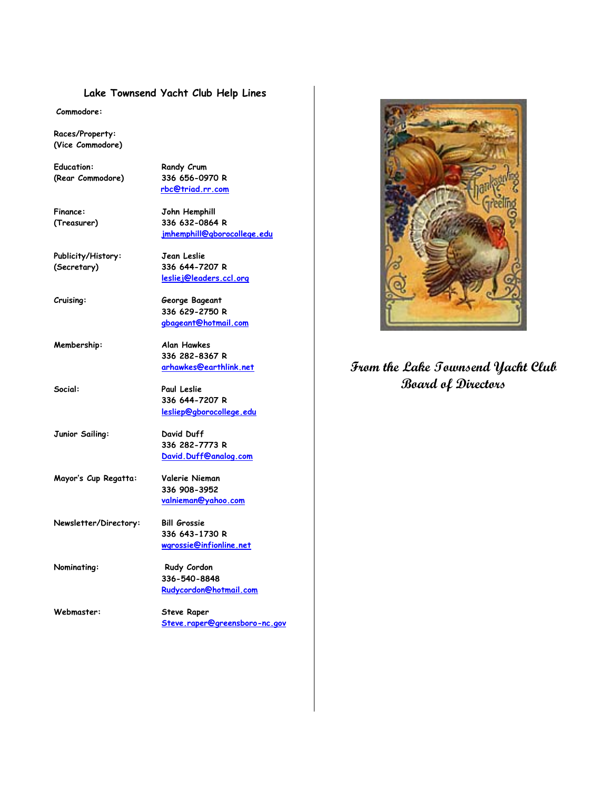#### **Lake Townsend Yacht Club Help Lines**

**Commodore:**

**Races/Property: (Vice Commodore)**

Education: **Randy Crum (Rear Commodore) 336 656-0970 R**

**Finance: John Hemphill (Treasurer) 336 632-0864 R**

**Publicity/History: Jean Leslie**

**(Secretary) 336 644-7207 R lesliej@leaders.ccl.org**

**jmhemphill@gborocollege.edu**

**rbc@triad.rr.com**

**Cruising: George Bageant 336 629-2750 R gbageant@hotmail.com**

**Membership: Alan Hawkes 336 282-8367 R arhawkes@earthlink.net**

**Social: Paul Leslie 336 644-7207 R lesliep@gborocollege.edu**

**Junior Sailing: David Duff 336 282-7773 R David.Duff@analog.com**

**Mayor's Cup Regatta: Valerie Nieman 336 908-3952 valnieman@yahoo.com**

**Newsletter/Directory: Bill Grossie 336 643-1730 R wgrossie@infionline.net**

**Nominating: Rudy Cordon 336-540-8848 Rudycordon@hotmail.com**

**Webmaster: Steve Raper Steve.raper@greensboro-nc.gov**



# **From the Lake Townsend Yacht Club Board of Directors**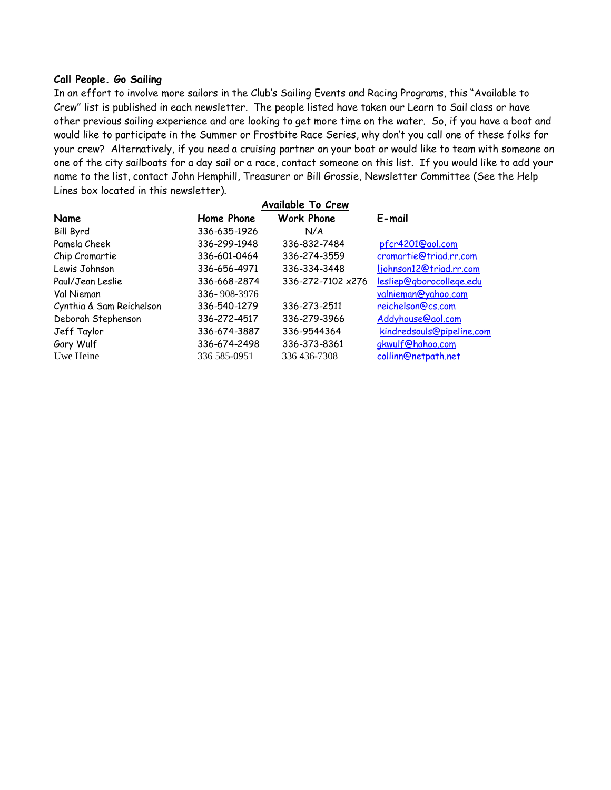### **Call People. Go Sailing**

In an effort to involve more sailors in the Club's Sailing Events and Racing Programs, this "Available to Crew" list is published in each newsletter. The people listed have taken our Learn to Sail class or have other previous sailing experience and are looking to get more time on the water. So, if you have a boat and would like to participate in the Summer or Frostbite Race Series, why don't you call one of these folks for your crew? Alternatively, if you need a cruising partner on your boat or would like to team with someone on one of the city sailboats for a day sail or a race, contact someone on this list. If you would like to add your name to the list, contact John Hemphill, Treasurer or Bill Grossie, Newsletter Committee (See the Help Lines box located in this newsletter).

|                          | <b>Available To Crew</b> |                   |                           |
|--------------------------|--------------------------|-------------------|---------------------------|
| <b>Name</b>              | Home Phone               | <b>Work Phone</b> | E-mail                    |
| <b>Bill Byrd</b>         | 336-635-1926             | N/A               |                           |
| Pamela Cheek             | 336-299-1948             | 336-832-7484      | pfcr4201@aol.com          |
| Chip Cromartie           | 336-601-0464             | 336-274-3559      | cromartie@triad.rr.com    |
| Lewis Johnson            | 336-656-4971             | 336-334-3448      | ljohnson12@triad.rr.com   |
| Paul/Jean Leslie         | 336-668-2874             | 336-272-7102 x276 | lesliep@gborocollege.edu  |
| Val Nieman               | 336-908-3976             |                   | valnieman@yahoo.com       |
| Cynthia & Sam Reichelson | 336-540-1279             | 336-273-2511      | reichelson@cs.com         |
| Deborah Stephenson       | 336-272-4517             | 336-279-3966      | Addyhouse@aol.com         |
| Jeff Taylor              | 336-674-3887             | 336-9544364       | kindredsouls@pipeline.com |
| Gary Wulf                | 336-674-2498             | 336-373-8361      | gkwulf@hahoo.com          |
| Uwe Heine                | 336 585-0951             | 336 436-7308      | collinn@netpath.net       |